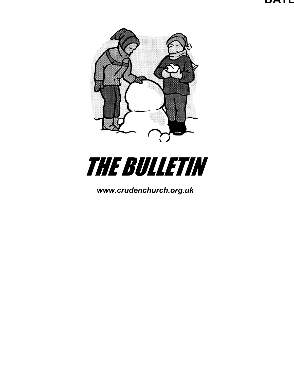





*[www.crudenc](http://www.cruden/)hurch.org.uk*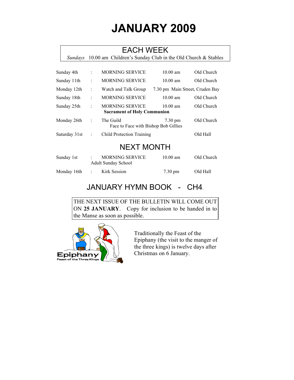# **JANUARY 2009**

### EACH WEEK

*Sundays* 10.00 am Children's Sunday Club in the Old Church & Stables

| Sunday 4th    | ÷ | <b>MORNING SERVICE</b>                                       | $10.00$ am                      | Old Church |
|---------------|---|--------------------------------------------------------------|---------------------------------|------------|
| Sunday 11th   | ÷ | <b>MORNING SERVICE</b>                                       | $10.00$ am                      | Old Church |
| Monday 12th   | ÷ | Watch and Talk Group                                         | 7.30 pm Main Street, Cruden Bay |            |
| Sunday 18th   | ÷ | <b>MORNING SERVICE</b>                                       | $10.00$ am                      | Old Church |
| Sunday 25th   | ÷ | <b>MORNING SERVICE</b><br><b>Sacrament of Holy Communion</b> | $10.00$ am                      | Old Church |
| Monday 26th   | ÷ | The Guild<br>Face to Face with Bishop Bob Gillies            | $7.30 \text{ pm}$               | Old Church |
| Saturday 31st | ÷ | <b>Child Protection Training</b>                             |                                 | Old Hall   |

### NEXT MONTH

| Sunday 1st  | <b>MORNING SERVICE</b><br><b>Adult Sunday School</b> | $10.00$ am        | Old Church |
|-------------|------------------------------------------------------|-------------------|------------|
| Monday 16th | Kirk Session                                         | $7.30 \text{ pm}$ | Old Hall   |

### JANUARY HYMN BOOK - CH4.

THE NEXT ISSUE OF THE BULLETIN WILL COME OUT ON **25 JANUARY**. Copy for inclusion to be handed in to the Manse as soon as possible.



Traditionally the Feast of the Epiphany (the visit to the manger of the three kings) is twelve days after Christmas on 6 January.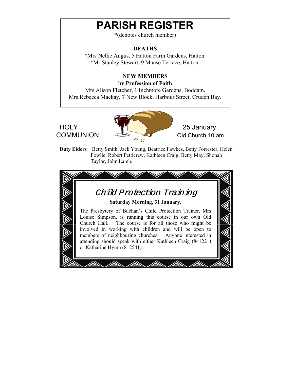# **PARISH REGISTER**

\*(denotes church member)

#### **DEATHS**

\*Mrs Nellie Angus, 5 Hatton Farm Gardens, Hatton. \*Mr Stanley Stewart, 9 Manse Terrace, Hatton.

### **NEW MEMBERS**

#### **by Profession of Faith**

Mrs Alison Fletcher, 1 Inchmore Gardens, Boddam. Mrs Rebecca Mackay, 7 New Block, Harbour Street, Cruden Bay.





**Duty Elders** Betty Smith, Jack Young, Beatrice Fawkes, Betty Forrester, Helen Fowlie, Robert Petticrew, Kathleen Craig, Betty May, Shonah Taylor, John Lamb.

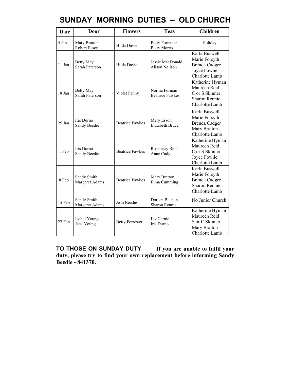|  |  |  | SUNDAY MORNING DUTIES – OLD CHURCH |
|--|--|--|------------------------------------|
|--|--|--|------------------------------------|

| <b>Date</b> | Door                               | <b>Flowers</b>         | <b>Teas</b>                                   | <b>Children</b>                                                                                  |
|-------------|------------------------------------|------------------------|-----------------------------------------------|--------------------------------------------------------------------------------------------------|
| 4 Jan       | Mary Bratton<br>Robert Esson       | Hilda Davie            | <b>Betty Forrester</b><br><b>Betty Morris</b> | Holiday                                                                                          |
| 11 Jan      | <b>Betty May</b><br>Sarah Paterson | Hilda Davie            | Jessie MacDonald<br><b>Alison Neilson</b>     | Karla Buswell<br>Marie Forsyth<br><b>Brenda Cadger</b><br>Joyce Fowlie<br>Charlotte Lamb         |
| 18 Jan      | <b>Betty May</b><br>Sarah Paterson | Violet Penny           | Norma Forman<br><b>Beatrice Fawkes</b>        | Katherine Hyman<br>Maureen Reid<br>C or S Skinner<br>Sharon Rennie<br>Charlotte Lamb             |
| $25$ Jan    | Iris Durno<br>Sandy Beedie         | <b>Beatrice Fawkes</b> | Mary Esson<br><b>Elizabeth Bruce</b>          | Karla Buswell<br>Marie Forsyth<br>Brenda Cadger<br>Mary Bratton<br>Charlotte Lamb                |
| 1 Feb       | Iris Durno<br>Sandy Beedie         | <b>Beatrice Fawkes</b> | Rosemary Reid<br>Anne Cady                    | Katherine Hyman<br>Maureen Reid<br>C or S Skinner<br>Joyce Fowlie<br>Charlotte Lamb              |
| 8 Feb       | Sandy Smith<br>Margaret Adams      | <b>Beatrice Fawkes</b> | Mary Bratton<br>Elma Cumming                  | Karla Buswell<br>Marie Forsyth<br><b>Brenda Cadger</b><br><b>Sharon Rennie</b><br>Charlotte Lamb |
| 15 Feb      | Sandy Smith<br>Margaret Adams      | Jean Beedie            | Doreen Buchan<br><b>Sharon Rennie</b>         | No Junior Church                                                                                 |
| 22 Feb      | Isobel Young<br>Jack Young         | <b>Betty Forrester</b> | Liz Carnie<br><b>Iris Durno</b>               | Katherine Hyman<br>Maureen Reid<br>S or C Skinner<br>Mary Bratton<br>Charlotte Lamb              |

**TO THOSE ON SUNDAY DUTY If you are unable to fulfil your duty, please try to find your own replacement before informing Sandy Beedie - 841370.**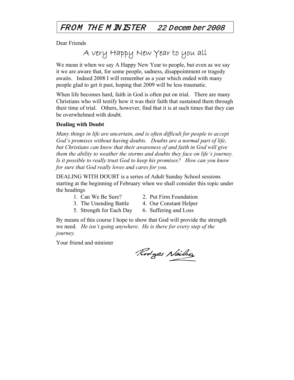### FROM THE M INISTER 22 Decem ber 2008

Dear Friends

## A very Happy New Year to you all

We mean it when we say A Happy New Year to people, but even as we say it we are aware that, for some people, sadness, disappointment or tragedy awaits. Indeed 2008 I will remember as a year which ended with many people glad to get it past, hoping that 2009 will be less traumatic.

When life becomes hard, faith in God is often put on trial. There are many Christians who will testify how it was their faith that sustained them through their time of trial. Others, however, find that it is at such times that they can be overwhelmed with doubt.

#### **Dealing with Doubt**

*Many things in life are uncertain, and is often difficult for people to accept God's promises without having doubts. Doubts are a normal part of life, but Christians can know that their awareness of and faith in God will give them the ability to weather the storms and doubts they face on life's journey. Is it possible to really trust God to keep his promises? How can you know for sure that God really loves and cares for you.* 

DEALING WITH DOUBT is a series of Adult Sunday School sessions starting at the beginning of February when we shall consider this topic under the headings

- 
- 1. Can We Be Sure? 2. Put Firm Foundation
- 3. The Unending Battle 4. Our Constant Helper
- 5. Strength for Each Day 6. Suffering and Loss
- 

By means of this course I hope to show that God will provide the strength we need. *He isn't going anywhere. He is there for every step of the journey.*

Your friend and minister

Rodges Neilso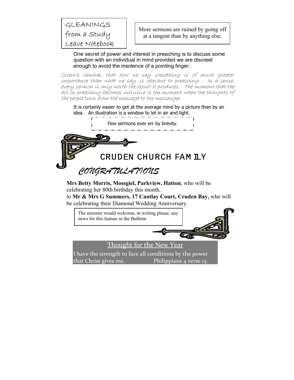### GLEANINGS from a Study Leave Notebook

More sermons are ruined by going off at a tangent than by anything else.

One secret of power and interest in preaching is to discuss some question with an individual in mind provided we are discreet enough to avoid the insolence of a pointing finger.

Cicero's remark, that how we say something is of much greater importance than what we say, is relevant to preaching. In a sense, every sermon is only worth the result it produces. The moment that the art in preaching becomes intrusive is the moment when the thoughts of the people turn from the message to the messenger.

It is certainly easier to get at the average mind by a picture than by an idea. An illustration is a window to let in air and light.



**Mrs Betty Morris, Mossgiel, Parkview, Hatton**, who will be celebrating her 80th birthday this month.

to **Mr & Mrs G Summers, 17 Cantlay Court, Cruden Bay,** who will be celebrating their Diamond Wedding Anniversary.

The minister would welcome, in writing please, any news for this feature in the Bulletin  $\sigma_{\!c}$ Thought for the New Year I have the strength to face all conditions by the power that Christ gives me. Philippians 4 verse 13.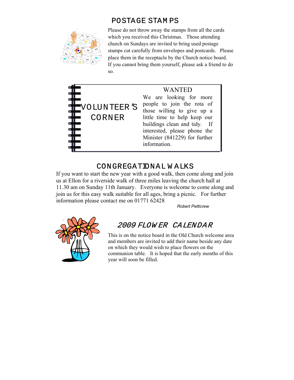

POSTAGE STAM PS

Please do not throw away the stamps from all the cards which you received this Christmas. Those attending church on Sundays are invited to bring used postage stamps cut carefully from envelopes and postcards. Please place them in the receptacle by the Church notice board. If you cannot bring them yourself, please ask a friend to do so.



### CONGREGATIONAL W ALKS

If you want to start the new year with a good walk, then come along and join us at Ellon for a riverside walk of three miles leaving the church hall at 11.30 am on Sunday 11th January. Everyone is welcome to come along and join us for this easy walk suitable for all ages, bring a picnic. For further information please contact me on 01771 62428

*Robert Petticrew*



### 2009 FLOW ER CALENDAR

This is on the notice board in the Old Church welcome area and members are invited to add their name beside any date on which they would wish to place flowers on the communion table. It is hoped that the early months of this year will soon be filled.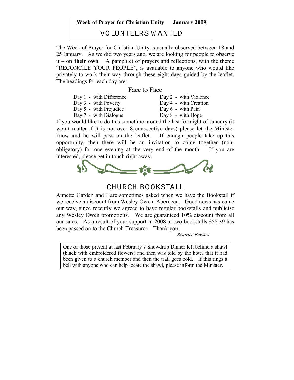#### **Week of Prayer for Christian Unity January 2009**

VOLUNTEERS W ANTED

The Week of Prayer for Christian Unity is usually observed between 18 and 25 January. As we did two years ago, we are looking for people to observe it – **on their own**. A pamphlet of prayers and reflections, with the theme "RECONCILE YOUR PEOPLE", is available to anyone who would like privately to work their way through these eight days guided by the leaflet. The headings for each day are:

#### Face to Face

| Day 1 - with Difference | Day 2 - with Violence |
|-------------------------|-----------------------|
| Day 3 - with Poverty    | Day 4 - with Creation |
| Day 5 - with Prejudice  | Day $6$ - with Pain   |
| Day 7 - with Dialogue   | Day 8 - with Hope     |
| $1.1.11$ $1.1.1$        | 1.1 1.0 1.1           |

If you would like to do this sometime around the last fortnight of January (it won't matter if it is not over 8 consecutive days) please let the Minister know and he will pass on the leaflet. If enough people take up this opportunity, then there will be an invitation to come together (nonobligatory) for one evening at the very end of the month. If you are interested, please get in touch right away.



#### CHURCH BOOKSTALL

Annette Garden and I are sometimes asked when we have the Bookstall if we receive a discount from Wesley Owen, Aberdeen. Good news has come our way, since recently we agreed to have regular bookstalls and publicise any Wesley Owen promotions. We are guaranteed 10% discount from all our sales. As a result of your support in 2008 at two bookstalls £58.39 has been passed on to the Church Treasurer. Thank you.

 *Beatrice Fawkes*

One of those present at last February's Snowdrop Dinner left behind a shawl (black with embroidered flowers) and then was told by the hotel that it had been given to a church member and then the trail goes cold. If this rings a bell with anyone who can help locate the shawl, please inform the Minister.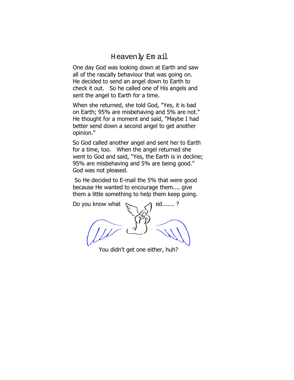#### Heavenly Em ail

One day God was looking down at Earth and saw all of the rascally behaviour that was going on. He decided to send an angel down to Earth to check it out. So he called one of His angels and sent the angel to Earth for a time.

When she returned, she told God, "Yes, it is bad on Earth; 95% are misbehaving and 5% are not." He thought for a moment and said, "Maybe I had better send down a second angel to get another opinion."

So God called another angel and sent her to Earth for a time, too. When the angel returned she went to God and said, "Yes, the Earth is in decline; 95% are misbehaving and 5% are being good." God was not pleased.

 So He decided to E-mail the 5% that were good because He wanted to encourage them.... give them a little something to help them keep going.

Do you know what  $\sim$  A id.......?

You didn't get one either, huh?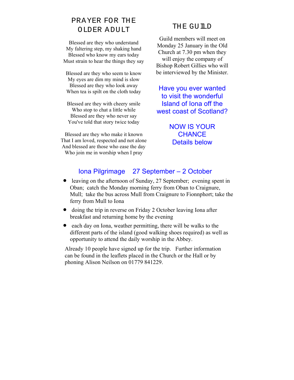### PRAYER FOR THE OLDER ADULT THE GUILD

Blessed are they who understand My faltering step, my shaking hand Blessed who know my ears today Must strain to hear the things they say

Blessed are they who seem to know My eyes are dim my mind is slow Blessed are they who look away When tea is spilt on the cloth today

Blessed are they with cheery smile Who stop to chat a little while Blessed are they who never say You've told that story twice today

Blessed are they who make it known That I am loved, respected and not alone And blessed are those who ease the day Who join me in worship when I pray

Guild members will meet on Monday 25 January in the Old Church at 7.30 pm when they will enjoy the company of Bishop Robert Gillies who will be interviewed by the Minister.

Have you ever wanted to visit the wonderful Island of Iona off the west coast of Scotland?

> NOW IS YOUR **CHANCE** Details below

### Iona Pilgrimage 27 September – 2 October

- leaving on the afternoon of Sunday, 27 September; evening spent in Oban; catch the Monday morning ferry from Oban to Craignure, Mull; take the bus across Mull from Craignure to Fionnphort; take the ferry from Mull to Iona
- doing the trip in reverse on Friday 2 October leaving Iona after breakfast and returning home by the evening
- each day on Iona, weather permitting, there will be walks to the different parts of the island (good walking shoes required) as well as opportunity to attend the daily worship in the Abbey.

Already 10 people have signed up for the trip. Further information can be found in the leaflets placed in the Church or the Hall or by phoning Alison Neilson on 01779 841229.